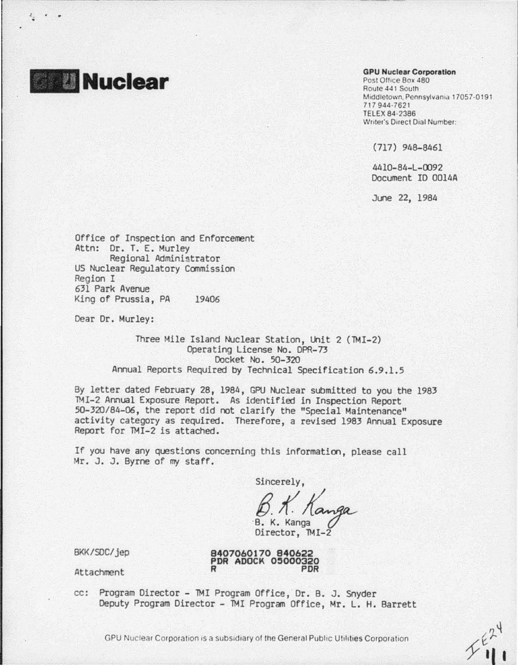

 $\cdots$ 

## GPU Nuclear Corporation

Post Office Box 480 Route 441 South Middletown, Pennsylvania 17057-0191 7 17 944 ·7621 TELEX 84·2386 Writer's Direct Dial Number:

(717) 948-8461

4410-84-l - 0092 Document ID 0014A

June 22, 1984

Office of Inspection and Enforcement Attn: Dr. T. E. Murley Regional Administrator US Nuclear Regulatory Commission Region I 631 Park Avenue King of Prussia, PA 19406

Dear Dr. Murley:

Three Mile Island Nuclear Station, Unit 2 (TMI-2) Operating license No. DPR-73 Docket No. 50-320 Annual Reports Required by Technical Specification 6.9.1.5

By letter dated February 28, 1984, GPU Nuclear submitted to you the 1983 lMI-2 Annual Exposure Report. As identified in Inspection Report 50-320/84-06, the report did not clarify the "Special Maintenance" activity category as required. Therefore, a revised 1983 Annual Exposure Report for IMI-2 is attached.

If you have any questions concerning this information, please call Mr. J. J. Byrne of my staff.

Sincerely,

B. K. Kanga Director, TMI-2 anga

BKK/SOC/jep

8407060170 840622<br>PDR ADOCK 05000320<br>R PDR

Attachment

cc: Program Director - TMI Program Office, Dr. B. J. Snyder Deputy Program Director - TMI Program Office, Mr. L. H. Barrett

GPU Nuclear Corporation is a subsidiary of the General Public Utilities Corporation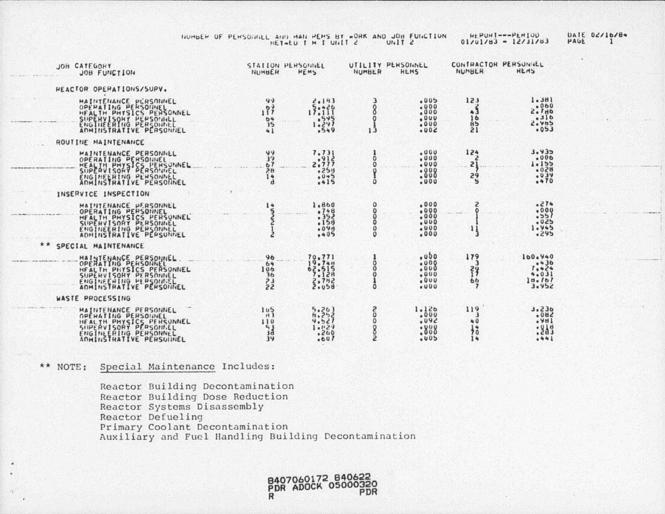NUMBER OF PENSOUNCE AND MAN HEMS BY WORK AND JOB FUNCTION

HEPUNI---PENIUD<br>01/01/83 - 12/31/83

DATE 02/10/84

| JOB CATEGORY<br>JOB FUNCTION                                                                                                                          | NUMBER                                              | STATION PERSONNEL<br>HEMS                             | NUMBER                         | UTILITY PENSONNEL<br><b>KEMS</b>                 | CONTRACTOR PERSONNLL<br>NUMBER   | <b>HEMS</b>                                         |
|-------------------------------------------------------------------------------------------------------------------------------------------------------|-----------------------------------------------------|-------------------------------------------------------|--------------------------------|--------------------------------------------------|----------------------------------|-----------------------------------------------------|
| HEACTOR OPERATIONS/SURV.                                                                                                                              |                                                     |                                                       |                                |                                                  |                                  |                                                     |
| MAINTENANCE PERSONNEL<br>HEALTH PHYSICS PERSONNEL<br>SUPERVISONY PEPSONNEL<br>ENGINEERING PERSONNEL<br>ADMINISTRATIVE PERSONNEL                       | 49<br>197<br>04<br>$\overline{15}$<br>41            | 2.193<br>17:11<br>.545<br>1.297<br>.549               | 8<br>$13^{0}$                  | .005<br>.000<br>.000<br>.000<br>.000<br>$-002$   | 123<br>$\sim$ 5<br>16<br>21      | 1.3H1<br>.060<br>2.1H0<br>.316<br>2.405<br>053      |
| ROUTINE MAINTENANCE                                                                                                                                   |                                                     |                                                       |                                |                                                  |                                  |                                                     |
| MAINTENANCE PERSONNEL<br>OPERATING PERSONNEL<br>HEALTH PHYSICS PEHSONNEL<br>ENGINEERING PERSONNEL<br>ADMINSTRATIVE PERSONNEL                          | 99<br>19<br>67<br>28<br>14<br>$\mathbf{d}$          | 7.731<br>.912<br>2.777<br>.250<br>.045<br>.415        | O<br>$\Omega$<br>O             | .000<br>.000<br>.000<br>.000<br>.000<br>.000     | 124<br>21<br>58<br>5             | 3.435<br>$-000$<br>$1 - 155$<br>028<br>039<br>.470  |
| INSERVICE INSPECTION                                                                                                                                  |                                                     |                                                       |                                |                                                  |                                  |                                                     |
| MAINTENANCE PERSONNEL<br>OPERATING PERSONNEL<br>HEALTH PHYSICS PERSUNNEL<br>SUPERVISORY PERSONNEL<br>ENGINEERING PERSONNEL<br>ADMINSTRATIVE PERSONNEL | 14                                                  | 1,860<br>.748<br>.352<br>.158<br>.09d<br>.405         | o<br>ooo<br>$\frac{0}{0}$      | .000<br>.000<br>.000<br>.000<br>.000<br>.000     |                                  | .274<br>.000<br>.551<br>.025<br>1.945<br>.295       |
| * *<br>SPECIAL MAINTENANCE                                                                                                                            |                                                     |                                                       |                                |                                                  |                                  |                                                     |
| MAINIENANCE PERSONNEL<br>HEALTH PHYSICS PERSONNEL<br>SUPERVISORY PERSONNEL<br>ENGINEENING PERSONNEL<br>ADMINSTRATIVE PERSONNEL                        | 96<br>64<br>106<br>36<br>7.3<br>22                  | 70,771<br>19.740<br>62.515<br>7.128<br>2.742<br>2.058 | 0<br>Ö<br>O<br>O               | .000<br>$-000$<br>.000<br>.000<br>.000<br>$-000$ | 179<br>з<br>39<br>66             | 100.940<br>7:30<br>4.031<br>10.161<br>3.952         |
| WASTE PROCESSING                                                                                                                                      |                                                     |                                                       |                                |                                                  |                                  |                                                     |
| MAINTENANCE PERSONNEL<br>OPEHATING PERSONNEL<br>HEALTH PHYSICS PERSONNEL<br>ENGINEERING PERSONNEL<br>ADMINSTRATIVE PERSULINEL                         | 105<br>H <sub>1</sub><br>110<br>$\frac{5}{3}$<br>34 | 5.203<br>6.252<br>9.521<br>1.129<br>$-200$<br>.607    | 2<br>0<br>0<br>N <sub>00</sub> | 1.126<br>.000<br>.092<br>:808<br>005             | 119<br>40<br>$\frac{1}{2}$<br>14 | 3.236<br>500 <sub>o</sub><br>.981<br>:343<br>$-441$ |

## \*\* NOTE: Special Maintenance Includes:

Reactor Building Decontamination Reactor Building Dose Reduction Reactor Systems Disassembly Reactor Defueling Primary Coolant Decontamination Auxiliary and Fuel Handling Building Decontamination